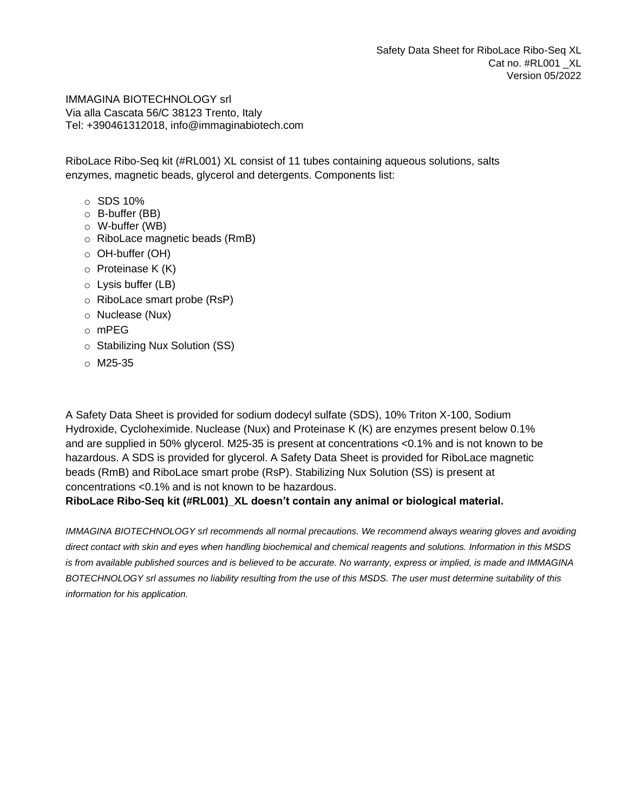IMMAGINA BIOTECHNOLOGY srl Via alla Cascata 56/C 38123 Trento, Italy Tel: +390461312018, info@immaginabiotech.com

RiboLace Ribo-Seq kit (#RL001) XL consist of 11 tubes containing aqueous solutions, salts enzymes, magnetic beads, glycerol and detergents. Components list:

- o SDS 10%
- o B-buffer (BB)
- o W-buffer (WB)
- o RiboLace magnetic beads (RmB)
- o OH-buffer (OH)
- $\circ$  Proteinase K (K)
- o Lysis buffer (LB)
- o RiboLace smart probe (RsP)
- o Nuclease (Nux)
- o mPEG
- o Stabilizing Nux Solution (SS)
- $\circ$  M25-35

A Safety Data Sheet is provided for sodium dodecyl sulfate (SDS), 10% Triton X-100, Sodium Hydroxide, Cycloheximide. Nuclease (Nux) and Proteinase K (K) are enzymes present below 0.1% and are supplied in 50% glycerol. M25-35 is present at concentrations <0.1% and is not known to be hazardous. A SDS is provided for glycerol. A Safety Data Sheet is provided for RiboLace magnetic beads (RmB) and RiboLace smart probe (RsP). Stabilizing Nux Solution (SS) is present at concentrations <0.1% and is not known to be hazardous.

#### **RiboLace Ribo-Seq kit (#RL001)\_XL doesn't contain any animal or biological material.**

*IMMAGINA BIOTECHNOLOGY srl recommends all normal precautions. We recommend always wearing gloves and avoiding direct contact with skin and eyes when handling biochemical and chemical reagents and solutions. Information in this MSDS is from available published sources and is believed to be accurate. No warranty, express or implied, is made and IMMAGINA BOTECHNOLOGY srl assumes no liability resulting from the use of this MSDS. The user must determine suitability of this information for his application.*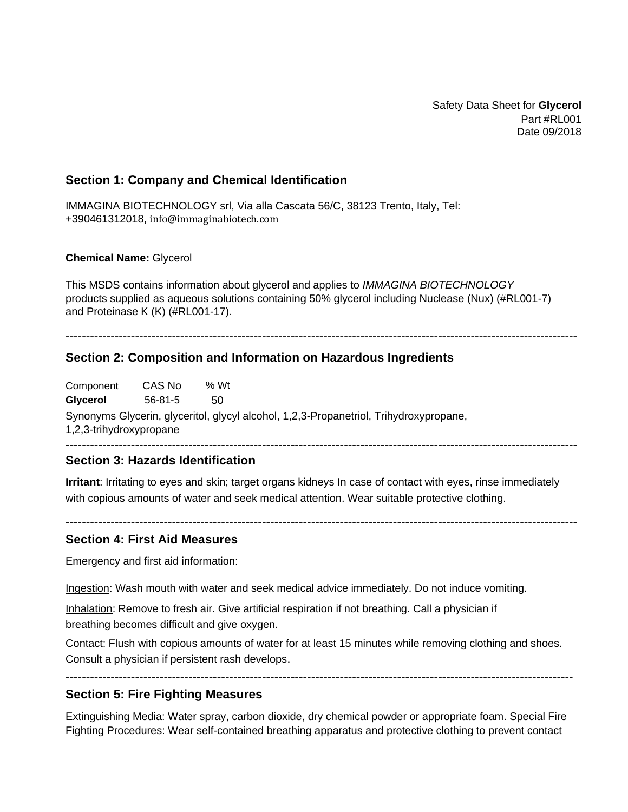Safety Data Sheet for **Glycerol** Part #RL001 Date 09/2018

### **Section 1: Company and Chemical Identification**

IMMAGINA BIOTECHNOLOGY srl, Via alla Cascata 56/C, 38123 Trento, Italy, Tel: +390461312018, info@immaginabiotech.com

#### **Chemical Name:** Glycerol

This MSDS contains information about glycerol and applies to *IMMAGINA BIOTECHNOLOGY* products supplied as aqueous solutions containing 50% glycerol including Nuclease (Nux) (#RL001-7) and Proteinase K (K) (#RL001-17).

-----------------------------------------------------------------------------------------------------------------------------

#### **Section 2: Composition and Information on Hazardous Ingredients**

Component **Glycerol** CAS No 56-81-5 % Wt 50 Synonyms Glycerin, glyceritol, glycyl alcohol, 1,2,3-Propanetriol, Trihydroxypropane, 1,2,3-trihydroxypropane -----------------------------------------------------------------------------------------------------------------------------

-----------------------------------------------------------------------------------------------------------------------------

#### **Section 3: Hazards Identification**

**Irritant**: Irritating to eyes and skin; target organs kidneys In case of contact with eyes, rinse immediately with copious amounts of water and seek medical attention. Wear suitable protective clothing.

#### **Section 4: First Aid Measures**

Emergency and first aid information:

Ingestion: Wash mouth with water and seek medical advice immediately. Do not induce vomiting.

Inhalation: Remove to fresh air. Give artificial respiration if not breathing. Call a physician if breathing becomes difficult and give oxygen.

Contact: Flush with copious amounts of water for at least 15 minutes while removing clothing and shoes. Consult a physician if persistent rash develops.

# ----------------------------------------------------------------------------------------------------------------------------

### **Section 5: Fire Fighting Measures**

Extinguishing Media: Water spray, carbon dioxide, dry chemical powder or appropriate foam. Special Fire Fighting Procedures: Wear self-contained breathing apparatus and protective clothing to prevent contact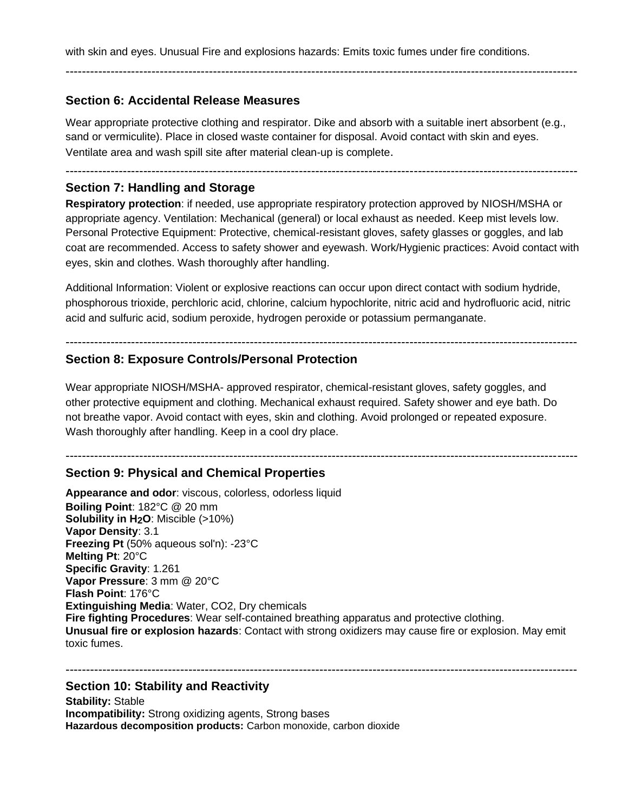with skin and eyes. Unusual Fire and explosions hazards: Emits toxic fumes under fire conditions.

-----------------------------------------------------------------------------------------------------------------------------

### **Section 6: Accidental Release Measures**

Wear appropriate protective clothing and respirator. Dike and absorb with a suitable inert absorbent (e.g., sand or vermiculite). Place in closed waste container for disposal. Avoid contact with skin and eyes. Ventilate area and wash spill site after material clean-up is complete.

-----------------------------------------------------------------------------------------------------------------------------

### **Section 7: Handling and Storage**

**Respiratory protection**: if needed, use appropriate respiratory protection approved by NIOSH/MSHA or appropriate agency. Ventilation: Mechanical (general) or local exhaust as needed. Keep mist levels low. Personal Protective Equipment: Protective, chemical-resistant gloves, safety glasses or goggles, and lab coat are recommended. Access to safety shower and eyewash. Work/Hygienic practices: Avoid contact with eyes, skin and clothes. Wash thoroughly after handling.

Additional Information: Violent or explosive reactions can occur upon direct contact with sodium hydride, phosphorous trioxide, perchloric acid, chlorine, calcium hypochlorite, nitric acid and hydrofluoric acid, nitric acid and sulfuric acid, sodium peroxide, hydrogen peroxide or potassium permanganate.

### ----------------------------------------------------------------------------------------------------------------------------- **Section 8: Exposure Controls/Personal Protection**

Wear appropriate NIOSH/MSHA- approved respirator, chemical-resistant gloves, safety goggles, and other protective equipment and clothing. Mechanical exhaust required. Safety shower and eye bath. Do not breathe vapor. Avoid contact with eyes, skin and clothing. Avoid prolonged or repeated exposure. Wash thoroughly after handling. Keep in a cool dry place.

-----------------------------------------------------------------------------------------------------------------------------

## **Section 9: Physical and Chemical Properties**

**Appearance and odor**: viscous, colorless, odorless liquid **Boiling Point**: 182°C @ 20 mm **Solubility in H2O**: Miscible (>10%) **Vapor Density**: 3.1 **Freezing Pt** (50% aqueous sol'n): -23°C **Melting Pt**: 20°C **Specific Gravity**: 1.261 **Vapor Pressure**: 3 mm @ 20°C **Flash Point**: 176°C **Extinguishing Media**: Water, CO2, Dry chemicals **Fire fighting Procedures**: Wear self-contained breathing apparatus and protective clothing. **Unusual fire or explosion hazards**: Contact with strong oxidizers may cause fire or explosion. May emit toxic fumes.

-----------------------------------------------------------------------------------------------------------------------------

## **Section 10: Stability and Reactivity**

**Stability:** Stable **Incompatibility:** Strong oxidizing agents, Strong bases **Hazardous decomposition products:** Carbon monoxide, carbon dioxide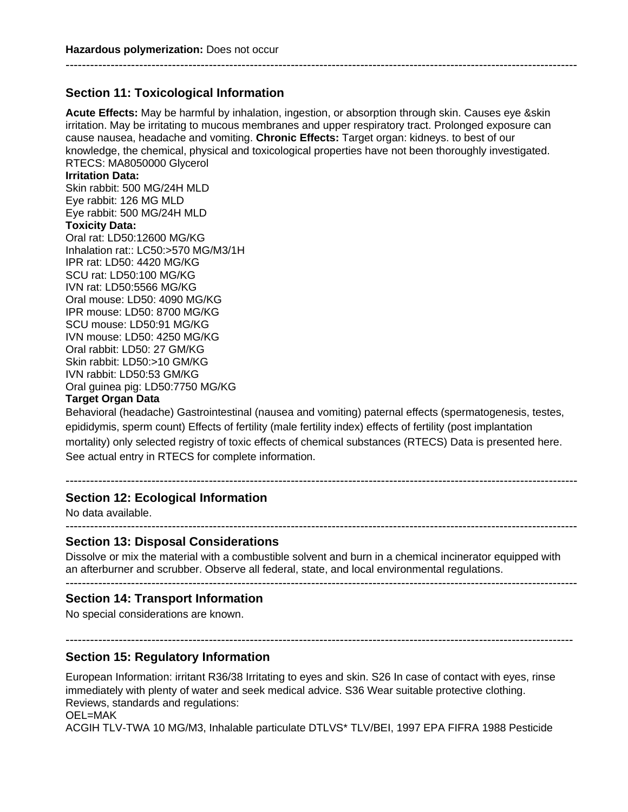## **Section 11: Toxicological Information**

**Acute Effects:** May be harmful by inhalation, ingestion, or absorption through skin. Causes eye &skin irritation. May be irritating to mucous membranes and upper respiratory tract. Prolonged exposure can cause nausea, headache and vomiting. **Chronic Effects:** Target organ: kidneys. to best of our knowledge, the chemical, physical and toxicological properties have not been thoroughly investigated. RTECS: MA8050000 Glycerol

-----------------------------------------------------------------------------------------------------------------------------

#### **Irritation Data:**

Skin rabbit: 500 MG/24H MLD Eye rabbit: 126 MG MLD Eye rabbit: 500 MG/24H MLD **Toxicity Data:**

Oral rat: LD50:12600 MG/KG Inhalation rat:: LC50:>570 MG/M3/1H IPR rat: LD50: 4420 MG/KG SCU rat: LD50:100 MG/KG IVN rat: LD50:5566 MG/KG Oral mouse: LD50: 4090 MG/KG IPR mouse: LD50: 8700 MG/KG SCU mouse: LD50:91 MG/KG IVN mouse: LD50: 4250 MG/KG Oral rabbit: LD50: 27 GM/KG Skin rabbit: LD50:>10 GM/KG IVN rabbit: LD50:53 GM/KG Oral guinea pig: LD50:7750 MG/KG

#### **Target Organ Data**

Behavioral (headache) Gastrointestinal (nausea and vomiting) paternal effects (spermatogenesis, testes, epididymis, sperm count) Effects of fertility (male fertility index) effects of fertility (post implantation mortality) only selected registry of toxic effects of chemical substances (RTECS) Data is presented here. See actual entry in RTECS for complete information.

-----------------------------------------------------------------------------------------------------------------------------

### **Section 12: Ecological Information**

No data available.

### **Section 13: Disposal Considerations**

Dissolve or mix the material with a combustible solvent and burn in a chemical incinerator equipped with an afterburner and scrubber. Observe all federal, state, and local environmental regulations.  $-$ 

-----------------------------------------------------------------------------------------------------------------------------

### **Section 14: Transport Information**

No special considerations are known.

### **Section 15: Regulatory Information**

European Information: irritant R36/38 Irritating to eyes and skin. S26 In case of contact with eyes, rinse immediately with plenty of water and seek medical advice. S36 Wear suitable protective clothing. Reviews, standards and regulations:

----------------------------------------------------------------------------------------------------------------------------

OEL=MAK

ACGIH TLV-TWA 10 MG/M3, Inhalable particulate DTLVS\* TLV/BEI, 1997 EPA FIFRA 1988 Pesticide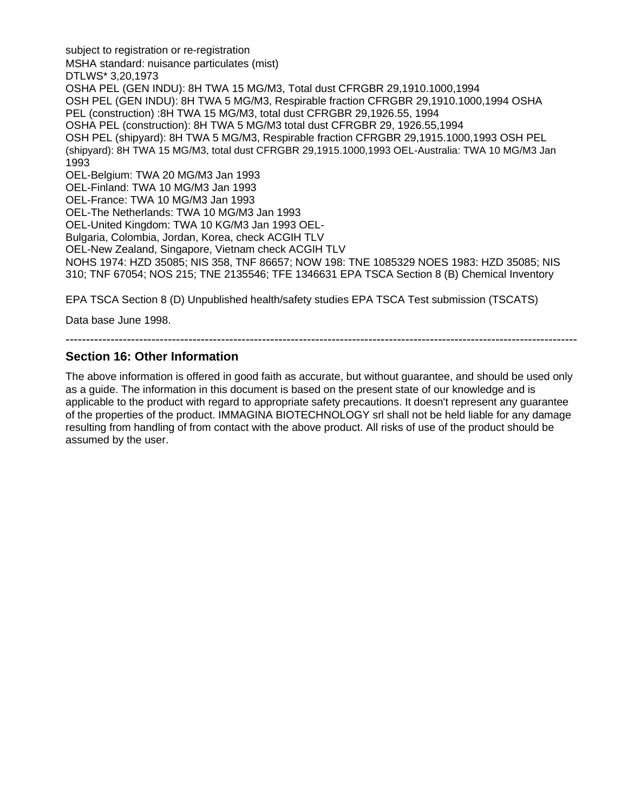subject to registration or re-registration MSHA standard: nuisance particulates (mist) DTLWS\* 3,20,1973 OSHA PEL (GEN INDU): 8H TWA 15 MG/M3, Total dust CFRGBR 29,1910.1000,1994 OSH PEL (GEN INDU): 8H TWA 5 MG/M3, Respirable fraction CFRGBR 29,1910.1000,1994 OSHA PEL (construction) :8H TWA 15 MG/M3, total dust CFRGBR 29,1926.55, 1994 OSHA PEL (construction): 8H TWA 5 MG/M3 total dust CFRGBR 29, 1926.55,1994 OSH PEL (shipyard): 8H TWA 5 MG/M3, Respirable fraction CFRGBR 29,1915.1000,1993 OSH PEL (shipyard): 8H TWA 15 MG/M3, total dust CFRGBR 29,1915.1000,1993 OEL-Australia: TWA 10 MG/M3 Jan 1993 OEL-Belgium: TWA 20 MG/M3 Jan 1993 OEL-Finland: TWA 10 MG/M3 Jan 1993 OEL-France: TWA 10 MG/M3 Jan 1993 OEL-The Netherlands: TWA 10 MG/M3 Jan 1993 OEL-United Kingdom: TWA 10 KG/M3 Jan 1993 OEL-Bulgaria, Colombia, Jordan, Korea, check ACGIH TLV OEL-New Zealand, Singapore, Vietnam check ACGIH TLV NOHS 1974: HZD 35085; NIS 358, TNF 86657; NOW 198: TNE 1085329 NOES 1983: HZD 35085; NIS 310; TNF 67054; NOS 215; TNE 2135546; TFE 1346631 EPA TSCA Section 8 (B) Chemical Inventory

EPA TSCA Section 8 (D) Unpublished health/safety studies EPA TSCA Test submission (TSCATS)

Data base June 1998.

### -----------------------------------------------------------------------------------------------------------------------------

### **Section 16: Other Information**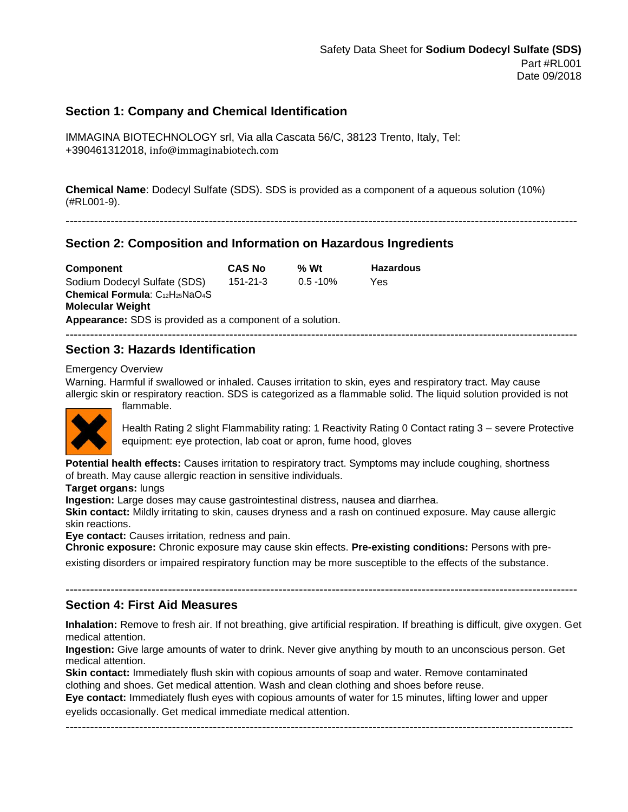### **Section 1: Company and Chemical Identification**

IMMAGINA BIOTECHNOLOGY srl, Via alla Cascata 56/C, 38123 Trento, Italy, Tel: +390461312018, info@immaginabiotech.com

**Chemical Name**: Dodecyl Sulfate (SDS). SDS is provided as a component of a aqueous solution (10%) (#RL001-9).

#### -----------------------------------------------------------------------------------------------------------------------------

## **Section 2: Composition and Information on Hazardous Ingredients**

| Component                                                 | <b>CAS No</b>  | % Wt         | <b>Hazardous</b> |  |
|-----------------------------------------------------------|----------------|--------------|------------------|--|
| Sodium Dodecyl Sulfate (SDS)                              | $151 - 21 - 3$ | $0.5 - 10\%$ | Yes              |  |
| Chemical Formula: C12H25NaO4S                             |                |              |                  |  |
| <b>Molecular Weight</b>                                   |                |              |                  |  |
| Appearance: SDS is provided as a component of a solution. |                |              |                  |  |
|                                                           |                |              |                  |  |

### **Section 3: Hazards Identification**

flammable.

#### Emergency Overview

Warning. Harmful if swallowed or inhaled. Causes irritation to skin, eyes and respiratory tract. May cause allergic skin or respiratory reaction. SDS is categorized as a flammable solid. The liquid solution provided is not



Health Rating 2 slight Flammability rating: 1 Reactivity Rating 0 Contact rating 3 – severe Protective equipment: eye protection, lab coat or apron, fume hood, gloves

**Potential health effects:** Causes irritation to respiratory tract. Symptoms may include coughing, shortness of breath. May cause allergic reaction in sensitive individuals.

#### **Target organs:** lungs

**Ingestion:** Large doses may cause gastrointestinal distress, nausea and diarrhea.

**Skin contact:** Mildly irritating to skin, causes dryness and a rash on continued exposure. May cause allergic skin reactions.

**Eye contact:** Causes irritation, redness and pain.

**Chronic exposure:** Chronic exposure may cause skin effects. **Pre-existing conditions:** Persons with preexisting disorders or impaired respiratory function may be more susceptible to the effects of the substance.

### **Section 4: First Aid Measures**

**Inhalation:** Remove to fresh air. If not breathing, give artificial respiration. If breathing is difficult, give oxygen. Get medical attention.

-----------------------------------------------------------------------------------------------------------------------------

**Ingestion:** Give large amounts of water to drink. Never give anything by mouth to an unconscious person. Get medical attention.

**Skin contact:** Immediately flush skin with copious amounts of soap and water. Remove contaminated clothing and shoes. Get medical attention. Wash and clean clothing and shoes before reuse.

**Eye contact:** Immediately flush eyes with copious amounts of water for 15 minutes, lifting lower and upper eyelids occasionally. Get medical immediate medical attention.

----------------------------------------------------------------------------------------------------------------------------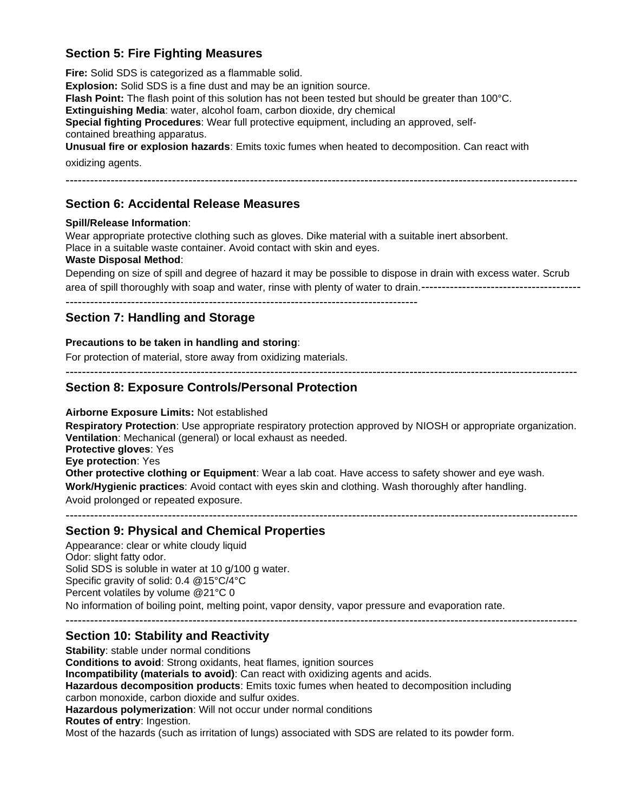## **Section 5: Fire Fighting Measures**

**Fire:** Solid SDS is categorized as a flammable solid.

**Explosion:** Solid SDS is a fine dust and may be an ignition source. **Flash Point:** The flash point of this solution has not been tested but should be greater than 100°C. **Extinguishing Media**: water, alcohol foam, carbon dioxide, dry chemical **Special fighting Procedures**: Wear full protective equipment, including an approved, selfcontained breathing apparatus. **Unusual fire or explosion hazards**: Emits toxic fumes when heated to decomposition. Can react with

oxidizing agents.

-----------------------------------------------------------------------------------------------------------------------------

### **Section 6: Accidental Release Measures**

#### **Spill/Release Information**:

Wear appropriate protective clothing such as gloves. Dike material with a suitable inert absorbent. Place in a suitable waste container. Avoid contact with skin and eyes.

#### **Waste Disposal Method**:

Depending on size of spill and degree of hazard it may be possible to dispose in drain with excess water. Scrub area of spill thoroughly with soap and water, rinse with plenty of water to drain.---------------------------------------

--------------------------------------------------------------------------------------

## **Section 7: Handling and Storage**

#### **Precautions to be taken in handling and storing**:

For protection of material, store away from oxidizing materials.

-----------------------------------------------------------------------------------------------------------------------------

### **Section 8: Exposure Controls/Personal Protection**

#### **Airborne Exposure Limits:** Not established

**Respiratory Protection**: Use appropriate respiratory protection approved by NIOSH or appropriate organization. **Ventilation**: Mechanical (general) or local exhaust as needed. **Protective gloves**: Yes **Eye protection**: Yes **Other protective clothing or Equipment**: Wear a lab coat. Have access to safety shower and eye wash. **Work/Hygienic practices**: Avoid contact with eyes skin and clothing. Wash thoroughly after handling. Avoid prolonged or repeated exposure.

-----------------------------------------------------------------------------------------------------------------------------

### **Section 9: Physical and Chemical Properties**

Appearance: clear or white cloudy liquid Odor: slight fatty odor. Solid SDS is soluble in water at 10 g/100 g water. Specific gravity of solid: 0.4 @15°C/4°C Percent volatiles by volume @21°C 0 No information of boiling point, melting point, vapor density, vapor pressure and evaporation rate. -----------------------------------------------------------------------------------------------------------------------------

### **Section 10: Stability and Reactivity**

**Stability**: stable under normal conditions **Conditions to avoid**: Strong oxidants, heat flames, ignition sources **Incompatibility (materials to avoid)**: Can react with oxidizing agents and acids. **Hazardous decomposition products**: Emits toxic fumes when heated to decomposition including carbon monoxide, carbon dioxide and sulfur oxides. **Hazardous polymerization**: Will not occur under normal conditions **Routes of entry**: Ingestion. Most of the hazards (such as irritation of lungs) associated with SDS are related to its powder form.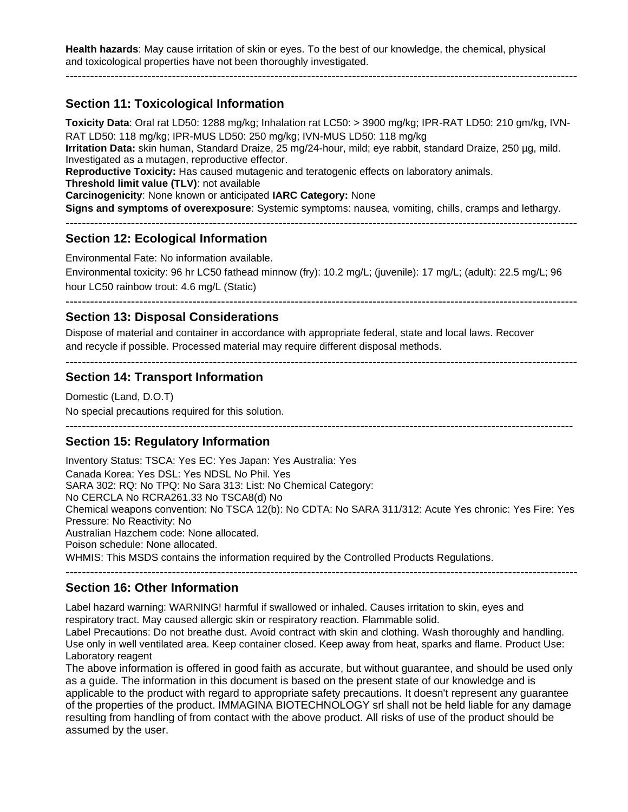**Health hazards**: May cause irritation of skin or eyes. To the best of our knowledge, the chemical, physical and toxicological properties have not been thoroughly investigated.

-----------------------------------------------------------------------------------------------------------------------------

## **Section 11: Toxicological Information**

**Toxicity Data**: Oral rat LD50: 1288 mg/kg; Inhalation rat LC50: > 3900 mg/kg; IPR-RAT LD50: 210 gm/kg, IVN-RAT LD50: 118 mg/kg; IPR-MUS LD50: 250 mg/kg; IVN-MUS LD50: 118 mg/kg **Irritation Data:** skin human, Standard Draize, 25 mg/24-hour, mild; eye rabbit, standard Draize, 250 µg, mild. Investigated as a mutagen, reproductive effector. **Reproductive Toxicity:** Has caused mutagenic and teratogenic effects on laboratory animals. **Threshold limit value (TLV)**: not available **Carcinogenicity**: None known or anticipated **IARC Category:** None **Signs and symptoms of overexposure**: Systemic symptoms: nausea, vomiting, chills, cramps and lethargy. -----------------------------------------------------------------------------------------------------------------------------

### **Section 12: Ecological Information**

Environmental Fate: No information available.

Environmental toxicity: 96 hr LC50 fathead minnow (fry): 10.2 mg/L; (juvenile): 17 mg/L; (adult): 22.5 mg/L; 96 hour LC50 rainbow trout: 4.6 mg/L (Static)

-----------------------------------------------------------------------------------------------------------------------------

### **Section 13: Disposal Considerations**

Dispose of material and container in accordance with appropriate federal, state and local laws. Recover and recycle if possible. Processed material may require different disposal methods.

-----------------------------------------------------------------------------------------------------------------------------

## **Section 14: Transport Information**

Domestic (Land, D.O.T) No special precautions required for this solution.

----------------------------------------------------------------------------------------------------------------------------

### **Section 15: Regulatory Information**

Inventory Status: TSCA: Yes EC: Yes Japan: Yes Australia: Yes Canada Korea: Yes DSL: Yes NDSL No Phil. Yes SARA 302: RQ: No TPQ: No Sara 313: List: No Chemical Category: No CERCLA No RCRA261.33 No TSCA8(d) No Chemical weapons convention: No TSCA 12(b): No CDTA: No SARA 311/312: Acute Yes chronic: Yes Fire: Yes Pressure: No Reactivity: No Australian Hazchem code: None allocated. Poison schedule: None allocated. WHMIS: This MSDS contains the information required by the Controlled Products Regulations.

### **Section 16: Other Information**

Label hazard warning: WARNING! harmful if swallowed or inhaled. Causes irritation to skin, eyes and respiratory tract. May caused allergic skin or respiratory reaction. Flammable solid.

Label Precautions: Do not breathe dust. Avoid contract with skin and clothing. Wash thoroughly and handling. Use only in well ventilated area. Keep container closed. Keep away from heat, sparks and flame. Product Use: Laboratory reagent

-----------------------------------------------------------------------------------------------------------------------------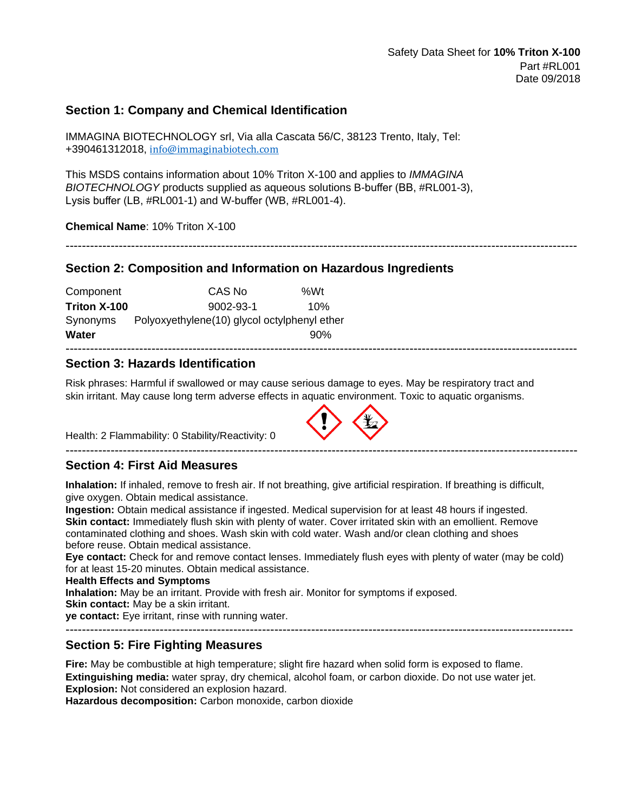### **Section 1: Company and Chemical Identification**

IMMAGINA BIOTECHNOLOGY srl, Via alla Cascata 56/C, 38123 Trento, Italy, Tel: +390461312018, [info@immaginabiotech.com](mailto:info@immaginabiotech.com)

This MSDS contains information about 10% Triton X-100 and applies to *IMMAGINA BIOTECHNOLOGY* products supplied as aqueous solutions B-buffer (BB, #RL001-3), Lysis buffer (LB, #RL001-1) and W-buffer (WB, #RL001-4).

**Chemical Name**: 10% Triton X-100

#### **Section 2: Composition and Information on Hazardous Ingredients**

| Component    | CAS No                                       | %Wt |
|--------------|----------------------------------------------|-----|
| Triton X-100 | $9002 - 93 - 1$                              | 10% |
| Synonyms     | Polyoxyethylene(10) glycol octylphenyl ether |     |
| Water        |                                              | 90% |

### **Section 3: Hazards Identification**

Risk phrases: Harmful if swallowed or may cause serious damage to eyes. May be respiratory tract and skin irritant. May cause long term adverse effects in aquatic environment. Toxic to aquatic organisms.

-----------------------------------------------------------------------------------------------------------------------------

-----------------------------------------------------------------------------------------------------------------------------

Health: 2 Flammability: 0 Stability/Reactivity: 0

### **Section 4: First Aid Measures**

**Inhalation:** If inhaled, remove to fresh air. If not breathing, give artificial respiration. If breathing is difficult, give oxygen. Obtain medical assistance.

**Ingestion:** Obtain medical assistance if ingested. Medical supervision for at least 48 hours if ingested. **Skin contact:** Immediately flush skin with plenty of water. Cover irritated skin with an emollient. Remove contaminated clothing and shoes. Wash skin with cold water. Wash and/or clean clothing and shoes before reuse. Obtain medical assistance.

**Eye contact:** Check for and remove contact lenses. Immediately flush eyes with plenty of water (may be cold) for at least 15-20 minutes. Obtain medical assistance.

#### **Health Effects and Symptoms**

**Inhalation:** May be an irritant. Provide with fresh air. Monitor for symptoms if exposed.

**Skin contact:** May be a skin irritant.

**ye contact:** Eye irritant, rinse with running water.

----------------------------------------------------------------------------------------------------------------------------

### **Section 5: Fire Fighting Measures**

**Fire:** May be combustible at high temperature; slight fire hazard when solid form is exposed to flame. **Extinguishing media:** water spray, dry chemical, alcohol foam, or carbon dioxide. Do not use water jet. **Explosion:** Not considered an explosion hazard.

**Hazardous decomposition:** Carbon monoxide, carbon dioxide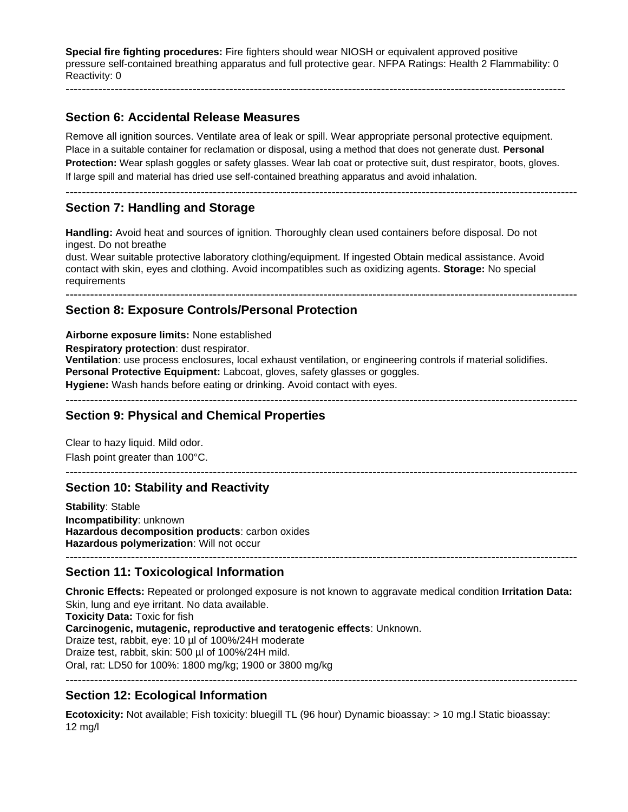**Special fire fighting procedures:** Fire fighters should wear NIOSH or equivalent approved positive pressure self-contained breathing apparatus and full protective gear. NFPA Ratings: Health 2 Flammability: 0 Reactivity: 0

--------------------------------------------------------------------------------------------------------------------------

### **Section 6: Accidental Release Measures**

Remove all ignition sources. Ventilate area of leak or spill. Wear appropriate personal protective equipment. Place in a suitable container for reclamation or disposal, using a method that does not generate dust. **Personal Protection:** Wear splash goggles or safety glasses. Wear lab coat or protective suit, dust respirator, boots, gloves. If large spill and material has dried use self-contained breathing apparatus and avoid inhalation.

-----------------------------------------------------------------------------------------------------------------------------

## **Section 7: Handling and Storage**

**Handling:** Avoid heat and sources of ignition. Thoroughly clean used containers before disposal. Do not ingest. Do not breathe dust. Wear suitable protective laboratory clothing/equipment. If ingested Obtain medical assistance. Avoid contact with skin, eyes and clothing. Avoid incompatibles such as oxidizing agents. **Storage:** No special requirements

-----------------------------------------------------------------------------------------------------------------------------

### **Section 8: Exposure Controls/Personal Protection**

**Airborne exposure limits:** None established **Respiratory protection**: dust respirator. **Ventilation**: use process enclosures, local exhaust ventilation, or engineering controls if material solidifies. **Personal Protective Equipment:** Labcoat, gloves, safety glasses or goggles. **Hygiene:** Wash hands before eating or drinking. Avoid contact with eyes. -----------------------------------------------------------------------------------------------------------------------------

-----------------------------------------------------------------------------------------------------------------------------

### **Section 9: Physical and Chemical Properties**

Clear to hazy liquid. Mild odor. Flash point greater than 100°C.

### **Section 10: Stability and Reactivity**

**Stability**: Stable **Incompatibility**: unknown **Hazardous decomposition products**: carbon oxides **Hazardous polymerization**: Will not occur -----------------------------------------------------------------------------------------------------------------------------

### **Section 11: Toxicological Information**

**Chronic Effects:** Repeated or prolonged exposure is not known to aggravate medical condition **Irritation Data:** Skin, lung and eye irritant. No data available. **Toxicity Data:** Toxic for fish **Carcinogenic, mutagenic, reproductive and teratogenic effects**: Unknown. Draize test, rabbit, eye: 10 µl of 100%/24H moderate Draize test, rabbit, skin: 500 µl of 100%/24H mild. Oral, rat: LD50 for 100%: 1800 mg/kg; 1900 or 3800 mg/kg -----------------------------------------------------------------------------------------------------------------------------

### **Section 12: Ecological Information**

**Ecotoxicity:** Not available; Fish toxicity: bluegill TL (96 hour) Dynamic bioassay: > 10 mg.l Static bioassay: 12 mg/l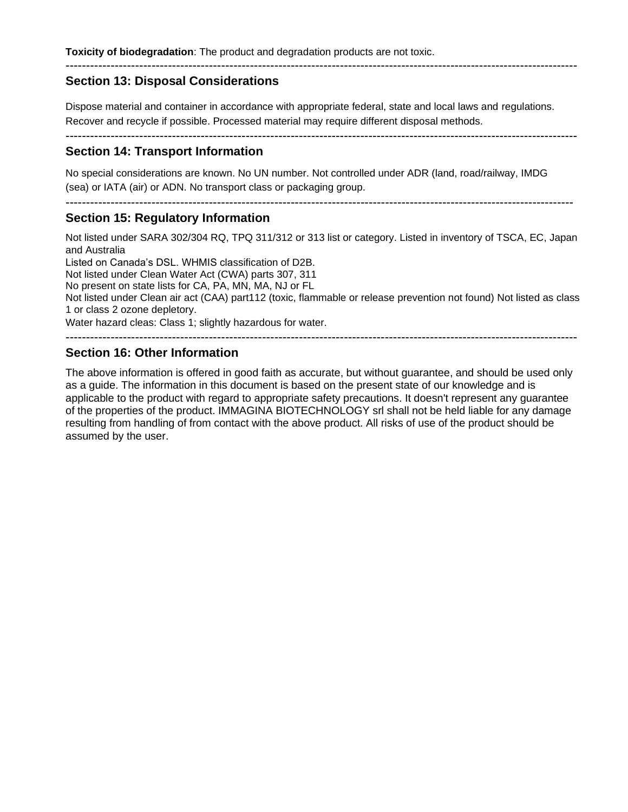## **Section 13: Disposal Considerations**

Dispose material and container in accordance with appropriate federal, state and local laws and regulations. Recover and recycle if possible. Processed material may require different disposal methods.

-----------------------------------------------------------------------------------------------------------------------------

### **Section 14: Transport Information**

No special considerations are known. No UN number. Not controlled under ADR (land, road/railway, IMDG (sea) or IATA (air) or ADN. No transport class or packaging group.

----------------------------------------------------------------------------------------------------------------------------

#### **Section 15: Regulatory Information**

Not listed under SARA 302/304 RQ, TPQ 311/312 or 313 list or category. Listed in inventory of TSCA, EC, Japan and Australia

Listed on Canada's DSL. WHMIS classification of D2B.

Not listed under Clean Water Act (CWA) parts 307, 311

No present on state lists for CA, PA, MN, MA, NJ or FL

Not listed under Clean air act (CAA) part112 (toxic, flammable or release prevention not found) Not listed as class 1 or class 2 ozone depletory.

Water hazard cleas: Class 1; slightly hazardous for water.

-----------------------------------------------------------------------------------------------------------------------------

### **Section 16: Other Information**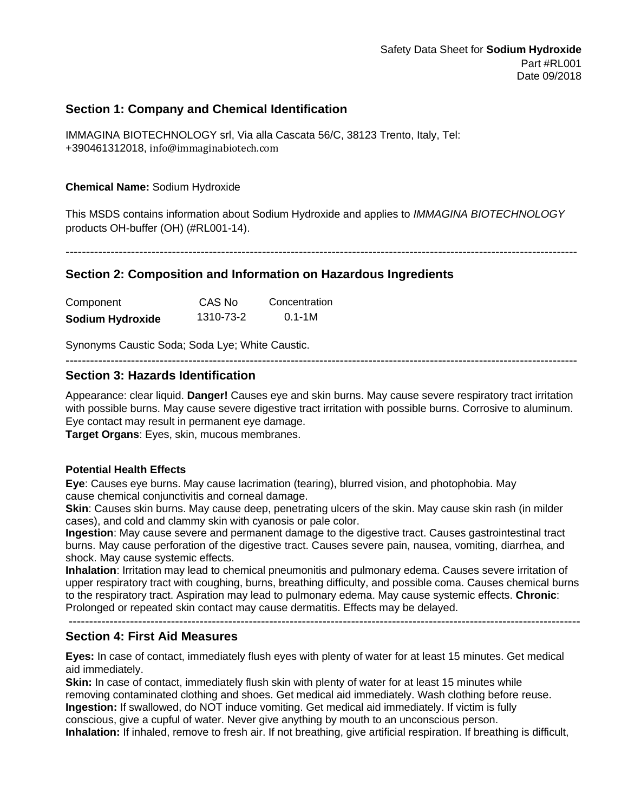### **Section 1: Company and Chemical Identification**

IMMAGINA BIOTECHNOLOGY srl, Via alla Cascata 56/C, 38123 Trento, Italy, Tel: +390461312018, info@immaginabiotech.com

**Chemical Name:** Sodium Hydroxide

This MSDS contains information about Sodium Hydroxide and applies to *IMMAGINA BIOTECHNOLOGY* products OH-buffer (OH) (#RL001-14).

-----------------------------------------------------------------------------------------------------------------------------

### **Section 2: Composition and Information on Hazardous Ingredients**

| Component        | CAS No    | Concentration |
|------------------|-----------|---------------|
| Sodium Hydroxide | 1310-73-2 | $0.1 - 1M$    |

Synonyms Caustic Soda; Soda Lye; White Caustic.

-----------------------------------------------------------------------------------------------------------------------------

### **Section 3: Hazards Identification**

Appearance: clear liquid. **Danger!** Causes eye and skin burns. May cause severe respiratory tract irritation with possible burns. May cause severe digestive tract irritation with possible burns. Corrosive to aluminum. Eye contact may result in permanent eye damage.

**Target Organs**: Eyes, skin, mucous membranes.

#### **Potential Health Effects**

**Eye**: Causes eye burns. May cause lacrimation (tearing), blurred vision, and photophobia. May cause chemical conjunctivitis and corneal damage.

**Skin**: Causes skin burns. May cause deep, penetrating ulcers of the skin. May cause skin rash (in milder cases), and cold and clammy skin with cyanosis or pale color.

**Ingestion**: May cause severe and permanent damage to the digestive tract. Causes gastrointestinal tract burns. May cause perforation of the digestive tract. Causes severe pain, nausea, vomiting, diarrhea, and shock. May cause systemic effects.

**Inhalation**: Irritation may lead to chemical pneumonitis and pulmonary edema. Causes severe irritation of upper respiratory tract with coughing, burns, breathing difficulty, and possible coma. Causes chemical burns to the respiratory tract. Aspiration may lead to pulmonary edema. May cause systemic effects. **Chronic**: Prolonged or repeated skin contact may cause dermatitis. Effects may be delayed.

-----------------------------------------------------------------------------------------------------------------------------

#### **Section 4: First Aid Measures**

**Eyes:** In case of contact, immediately flush eyes with plenty of water for at least 15 minutes. Get medical aid immediately.

**Skin:** In case of contact, immediately flush skin with plenty of water for at least 15 minutes while removing contaminated clothing and shoes. Get medical aid immediately. Wash clothing before reuse. **Ingestion:** If swallowed, do NOT induce vomiting. Get medical aid immediately. If victim is fully conscious, give a cupful of water. Never give anything by mouth to an unconscious person. **Inhalation:** If inhaled, remove to fresh air. If not breathing, give artificial respiration. If breathing is difficult,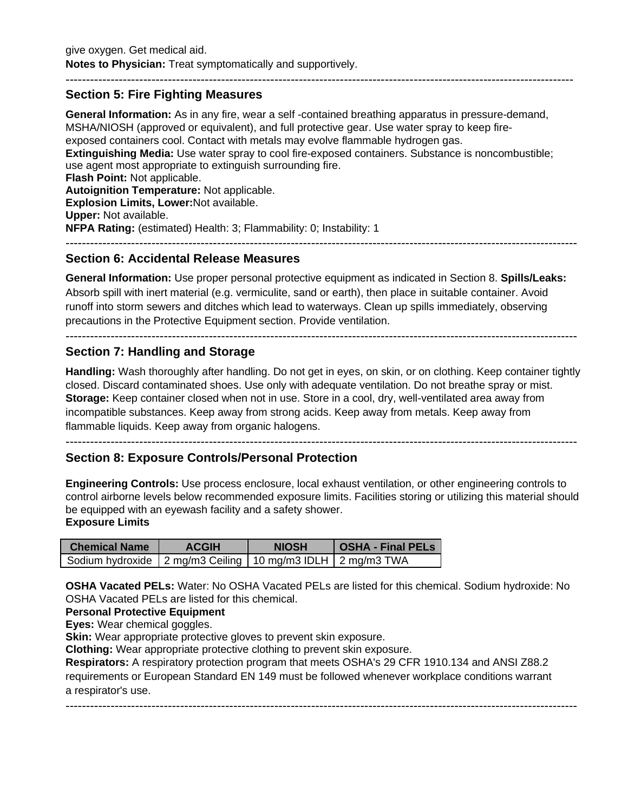### **Section 5: Fire Fighting Measures**

**General Information:** As in any fire, wear a self -contained breathing apparatus in pressure-demand, MSHA/NIOSH (approved or equivalent), and full protective gear. Use water spray to keep fireexposed containers cool. Contact with metals may evolve flammable hydrogen gas. **Extinguishing Media:** Use water spray to cool fire-exposed containers. Substance is noncombustible; use agent most appropriate to extinguish surrounding fire. **Flash Point:** Not applicable. **Autoignition Temperature:** Not applicable. **Explosion Limits, Lower:**Not available. **Upper:** Not available. **NFPA Rating:** (estimated) Health: 3; Flammability: 0; Instability: 1 -----------------------------------------------------------------------------------------------------------------------------

----------------------------------------------------------------------------------------------------------------------------

### **Section 6: Accidental Release Measures**

**General Information:** Use proper personal protective equipment as indicated in Section 8. **Spills/Leaks:**  Absorb spill with inert material (e.g. vermiculite, sand or earth), then place in suitable container. Avoid runoff into storm sewers and ditches which lead to waterways. Clean up spills immediately, observing precautions in the Protective Equipment section. Provide ventilation.

-----------------------------------------------------------------------------------------------------------------------------

### **Section 7: Handling and Storage**

**Handling:** Wash thoroughly after handling. Do not get in eyes, on skin, or on clothing. Keep container tightly closed. Discard contaminated shoes. Use only with adequate ventilation. Do not breathe spray or mist. **Storage:** Keep container closed when not in use. Store in a cool, dry, well-ventilated area away from incompatible substances. Keep away from strong acids. Keep away from metals. Keep away from flammable liquids. Keep away from organic halogens.

-----------------------------------------------------------------------------------------------------------------------------

### **Section 8: Exposure Controls/Personal Protection**

**Engineering Controls:** Use process enclosure, local exhaust ventilation, or other engineering controls to control airborne levels below recommended exposure limits. Facilities storing or utilizing this material should be equipped with an eyewash facility and a safety shower. **Exposure Limits**

| <b>Chemical Name</b>                                             | <b>ACGIH</b> | <b>NIOSH</b> | <b>OSHA - Final PELS</b> |
|------------------------------------------------------------------|--------------|--------------|--------------------------|
| Sodium hydroxide   2 mg/m3 Ceiling   10 mg/m3 IDLH   2 mg/m3 TWA |              |              |                          |

**OSHA Vacated PELs:** Water: No OSHA Vacated PELs are listed for this chemical. Sodium hydroxide: No OSHA Vacated PELs are listed for this chemical.

#### **Personal Protective Equipment**

**Eyes:** Wear chemical goggles.

**Skin:** Wear appropriate protective gloves to prevent skin exposure.

**Clothing:** Wear appropriate protective clothing to prevent skin exposure.

**Respirators:** A respiratory protection program that meets OSHA's 29 CFR 1910.134 and ANSI Z88.2 requirements or European Standard EN 149 must be followed whenever workplace conditions warrant a respirator's use.

-----------------------------------------------------------------------------------------------------------------------------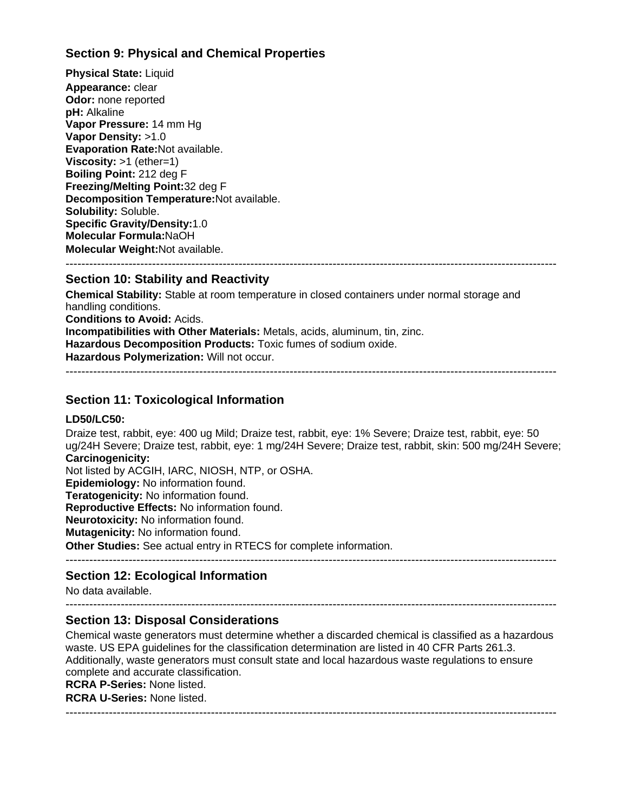## **Section 9: Physical and Chemical Properties**

**Physical State:** Liquid **Appearance:** clear **Odor:** none reported **pH:** Alkaline **Vapor Pressure:** 14 mm Hg **Vapor Density:** >1.0 **Evaporation Rate:**Not available. **Viscosity:** >1 (ether=1) **Boiling Point:** 212 deg F **Freezing/Melting Point:**32 deg F **Decomposition Temperature:**Not available. **Solubility:** Soluble. **Specific Gravity/Density:**1.0 **Molecular Formula:**NaOH **Molecular Weight:**Not available. -----------------------------------------------------------------------------------------------------------------------------

### **Section 10: Stability and Reactivity**

**Chemical Stability:** Stable at room temperature in closed containers under normal storage and handling conditions. **Conditions to Avoid:** Acids. **Incompatibilities with Other Materials:** Metals, acids, aluminum, tin, zinc. **Hazardous Decomposition Products:** Toxic fumes of sodium oxide. **Hazardous Polymerization:** Will not occur.

-----------------------------------------------------------------------------------------------------------------------------

### **Section 11: Toxicological Information**

#### **LD50/LC50:**

Draize test, rabbit, eye: 400 ug Mild; Draize test, rabbit, eye: 1% Severe; Draize test, rabbit, eye: 50 ug/24H Severe; Draize test, rabbit, eye: 1 mg/24H Severe; Draize test, rabbit, skin: 500 mg/24H Severe; **Carcinogenicity:** Not listed by ACGIH, IARC, NIOSH, NTP, or OSHA.

**Epidemiology:** No information found.

**Teratogenicity:** No information found.

**Reproductive Effects:** No information found.

**Neurotoxicity:** No information found.

**Mutagenicity:** No information found.

**Other Studies:** See actual entry in RTECS for complete information.

-----------------------------------------------------------------------------------------------------------------------------

### **Section 12: Ecological Information**

No data available.

#### -----------------------------------------------------------------------------------------------------------------------------

### **Section 13: Disposal Considerations**

Chemical waste generators must determine whether a discarded chemical is classified as a hazardous waste. US EPA guidelines for the classification determination are listed in 40 CFR Parts 261.3. Additionally, waste generators must consult state and local hazardous waste regulations to ensure complete and accurate classification.

**RCRA P-Series:** None listed.

**RCRA U-Series:** None listed.

-----------------------------------------------------------------------------------------------------------------------------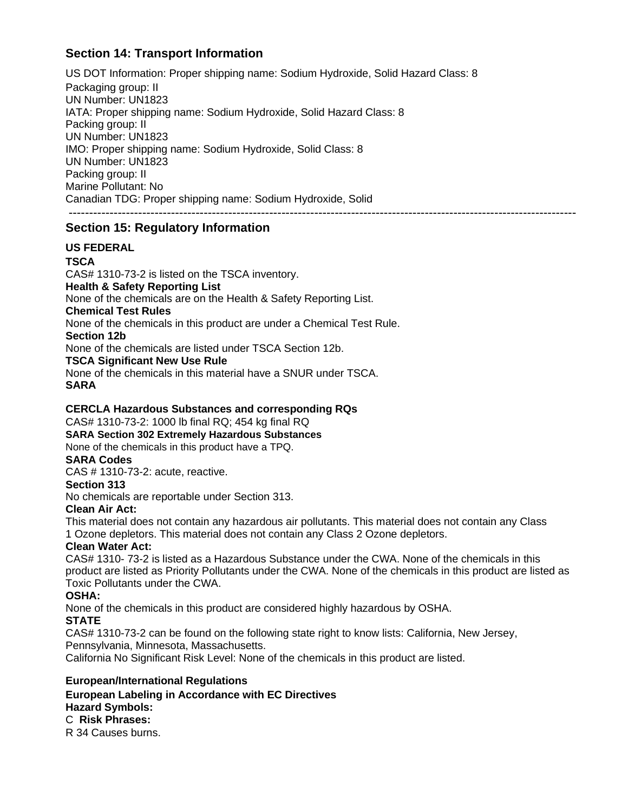## **Section 14: Transport Information**

US DOT Information: Proper shipping name: Sodium Hydroxide, Solid Hazard Class: 8 Packaging group: II UN Number: UN1823 IATA: Proper shipping name: Sodium Hydroxide, Solid Hazard Class: 8 Packing group: II UN Number: UN1823 IMO: Proper shipping name: Sodium Hydroxide, Solid Class: 8 UN Number: UN1823 Packing group: II Marine Pollutant: No Canadian TDG: Proper shipping name: Sodium Hydroxide, Solid ----------------------------------------------------------------------------------------------------------------------------

## **Section 15: Regulatory Information**

### **US FEDERAL**

**TSCA**

CAS# 1310-73-2 is listed on the TSCA inventory.

### **Health & Safety Reporting List**

None of the chemicals are on the Health & Safety Reporting List.

### **Chemical Test Rules**

None of the chemicals in this product are under a Chemical Test Rule.

#### **Section 12b**

None of the chemicals are listed under TSCA Section 12b.

**TSCA Significant New Use Rule**

None of the chemicals in this material have a SNUR under TSCA. **SARA**

### **CERCLA Hazardous Substances and corresponding RQs**

CAS# 1310-73-2: 1000 lb final RQ; 454 kg final RQ

**SARA Section 302 Extremely Hazardous Substances** 

None of the chemicals in this product have a TPQ.

### **SARA Codes**

CAS # 1310-73-2: acute, reactive.

#### **Section 313**

No chemicals are reportable under Section 313.

#### **Clean Air Act:**

This material does not contain any hazardous air pollutants. This material does not contain any Class 1 Ozone depletors. This material does not contain any Class 2 Ozone depletors.

### **Clean Water Act:**

CAS# 1310- 73-2 is listed as a Hazardous Substance under the CWA. None of the chemicals in this product are listed as Priority Pollutants under the CWA. None of the chemicals in this product are listed as Toxic Pollutants under the CWA.

### **OSHA:**

None of the chemicals in this product are considered highly hazardous by OSHA.

### **STATE**

CAS# 1310-73-2 can be found on the following state right to know lists: California, New Jersey, Pennsylvania, Minnesota, Massachusetts.

California No Significant Risk Level: None of the chemicals in this product are listed.

### **European/International Regulations**

**European Labeling in Accordance with EC Directives Hazard Symbols:**

### C **Risk Phrases:**

R 34 Causes burns.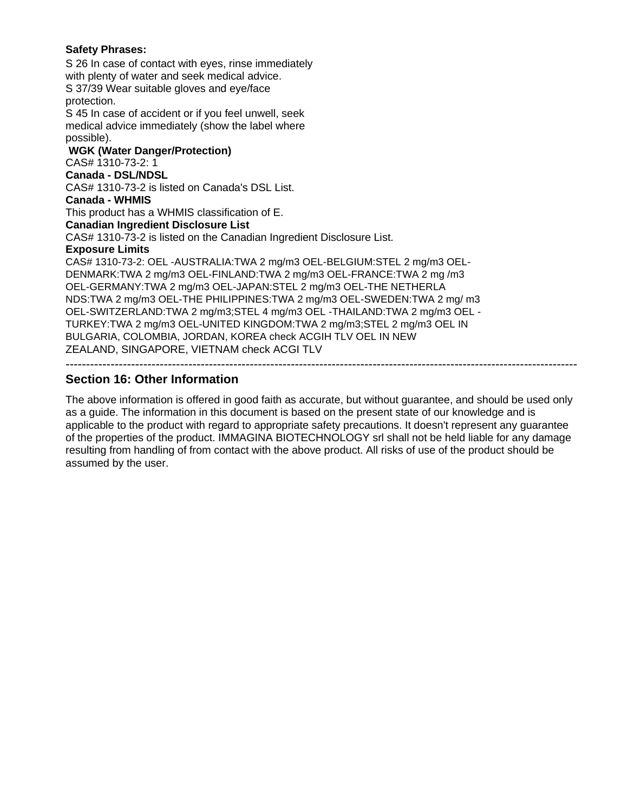#### **Safety Phrases:**

S 26 In case of contact with eyes, rinse immediately with plenty of water and seek medical advice. S 37/39 Wear suitable gloves and eye/face protection. S 45 In case of accident or if you feel unwell, seek medical advice immediately (show the label where possible). **WGK (Water Danger/Protection)** CAS# 1310-73-2: 1 **Canada - DSL/NDSL** CAS# 1310-73-2 is listed on Canada's DSL List. **Canada - WHMIS** This product has a WHMIS classification of E. **Canadian Ingredient Disclosure List** CAS# 1310-73-2 is listed on the Canadian Ingredient Disclosure List. **Exposure Limits** CAS# 1310-73-2: OEL -AUSTRALIA:TWA 2 mg/m3 OEL-BELGIUM:STEL 2 mg/m3 OEL-DENMARK:TWA 2 mg/m3 OEL-FINLAND:TWA 2 mg/m3 OEL-FRANCE:TWA 2 mg /m3 OEL-GERMANY:TWA 2 mg/m3 OEL-JAPAN:STEL 2 mg/m3 OEL-THE NETHERLA NDS:TWA 2 mg/m3 OEL-THE PHILIPPINES:TWA 2 mg/m3 OEL-SWEDEN:TWA 2 mg/ m3 OEL-SWITZERLAND:TWA 2 mg/m3;STEL 4 mg/m3 OEL -THAILAND:TWA 2 mg/m3 OEL - TURKEY:TWA 2 mg/m3 OEL-UNITED KINGDOM:TWA 2 mg/m3;STEL 2 mg/m3 OEL IN BULGARIA, COLOMBIA, JORDAN, KOREA check ACGIH TLV OEL IN NEW ZEALAND, SINGAPORE, VIETNAM check ACGI TLV -----------------------------------------------------------------------------------------------------------------------------

### **Section 16: Other Information**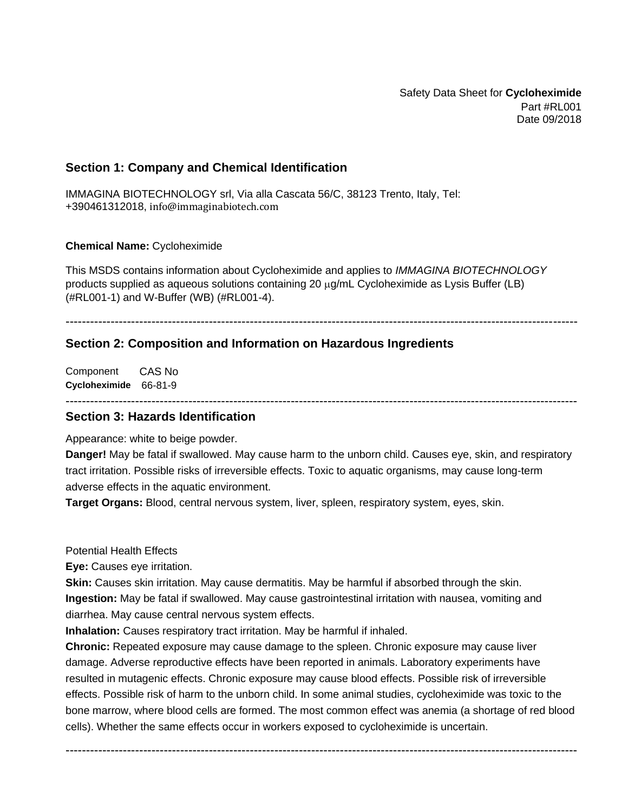Safety Data Sheet for **Cycloheximide** Part #RL001 Date 09/2018

### **Section 1: Company and Chemical Identification**

IMMAGINA BIOTECHNOLOGY srl, Via alla Cascata 56/C, 38123 Trento, Italy, Tel: +390461312018, info@immaginabiotech.com

#### **Chemical Name:** Cycloheximide

This MSDS contains information about Cycloheximide and applies to *IMMAGINA BIOTECHNOLOGY* products supplied as aqueous solutions containing 20  $\mu q/mL$  Cycloheximide as Lysis Buffer (LB) (#RL001-1) and W-Buffer (WB) (#RL001-4).

#### -----------------------------------------------------------------------------------------------------------------------------

#### **Section 2: Composition and Information on Hazardous Ingredients**

Component **Cycloheximide** 66-81-9 CAS No

#### ----------------------------------------------------------------------------------------------------------------------------- **Section 3: Hazards Identification**

Appearance: white to beige powder.

**Danger!** May be fatal if swallowed. May cause harm to the unborn child. Causes eye, skin, and respiratory tract irritation. Possible risks of irreversible effects. Toxic to aquatic organisms, may cause long-term adverse effects in the aquatic environment.

**Target Organs:** Blood, central nervous system, liver, spleen, respiratory system, eyes, skin.

Potential Health Effects

**Eye:** Causes eye irritation.

**Skin:** Causes skin irritation. May cause dermatitis. May be harmful if absorbed through the skin. **Ingestion:** May be fatal if swallowed. May cause gastrointestinal irritation with nausea, vomiting and diarrhea. May cause central nervous system effects.

**Inhalation:** Causes respiratory tract irritation. May be harmful if inhaled.

**Chronic:** Repeated exposure may cause damage to the spleen. Chronic exposure may cause liver damage. Adverse reproductive effects have been reported in animals. Laboratory experiments have resulted in mutagenic effects. Chronic exposure may cause blood effects. Possible risk of irreversible effects. Possible risk of harm to the unborn child. In some animal studies, cycloheximide was toxic to the bone marrow, where blood cells are formed. The most common effect was anemia (a shortage of red blood cells). Whether the same effects occur in workers exposed to cycloheximide is uncertain.

-----------------------------------------------------------------------------------------------------------------------------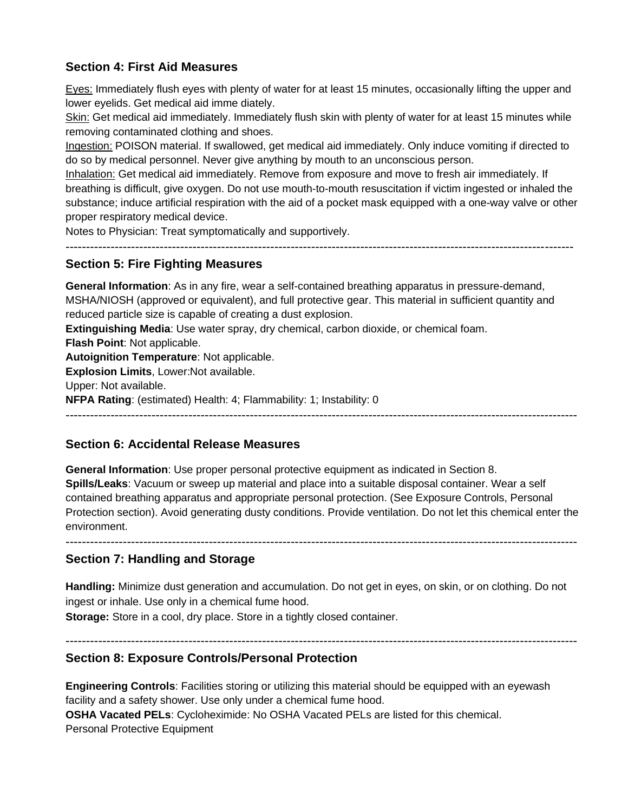## **Section 4: First Aid Measures**

Eyes: Immediately flush eyes with plenty of water for at least 15 minutes, occasionally lifting the upper and lower eyelids. Get medical aid imme diately.

Skin: Get medical aid immediately. Immediately flush skin with plenty of water for at least 15 minutes while removing contaminated clothing and shoes.

Ingestion: POISON material. If swallowed, get medical aid immediately. Only induce vomiting if directed to do so by medical personnel. Never give anything by mouth to an unconscious person.

Inhalation: Get medical aid immediately. Remove from exposure and move to fresh air immediately. If breathing is difficult, give oxygen. Do not use mouth-to-mouth resuscitation if victim ingested or inhaled the substance; induce artificial respiration with the aid of a pocket mask equipped with a one-way valve or other proper respiratory medical device.

Notes to Physician: Treat symptomatically and supportively.

----------------------------------------------------------------------------------------------------------------------------

### **Section 5: Fire Fighting Measures**

**General Information**: As in any fire, wear a self-contained breathing apparatus in pressure-demand, MSHA/NIOSH (approved or equivalent), and full protective gear. This material in sufficient quantity and reduced particle size is capable of creating a dust explosion.

**Extinguishing Media**: Use water spray, dry chemical, carbon dioxide, or chemical foam.

**Flash Point**: Not applicable.

**Autoignition Temperature**: Not applicable.

**Explosion Limits**, Lower:Not available.

Upper: Not available.

**NFPA Rating**: (estimated) Health: 4; Flammability: 1; Instability: 0

-----------------------------------------------------------------------------------------------------------------------------

## **Section 6: Accidental Release Measures**

**General Information**: Use proper personal protective equipment as indicated in Section 8. **Spills/Leaks**: Vacuum or sweep up material and place into a suitable disposal container. Wear a self contained breathing apparatus and appropriate personal protection. (See Exposure Controls, Personal Protection section). Avoid generating dusty conditions. Provide ventilation. Do not let this chemical enter the environment.

-----------------------------------------------------------------------------------------------------------------------------

### **Section 7: Handling and Storage**

**Handling:** Minimize dust generation and accumulation. Do not get in eyes, on skin, or on clothing. Do not ingest or inhale. Use only in a chemical fume hood.

**Storage:** Store in a cool, dry place. Store in a tightly closed container.

-----------------------------------------------------------------------------------------------------------------------------

### **Section 8: Exposure Controls/Personal Protection**

**Engineering Controls**: Facilities storing or utilizing this material should be equipped with an eyewash facility and a safety shower. Use only under a chemical fume hood. **OSHA Vacated PELs**: Cycloheximide: No OSHA Vacated PELs are listed for this chemical. Personal Protective Equipment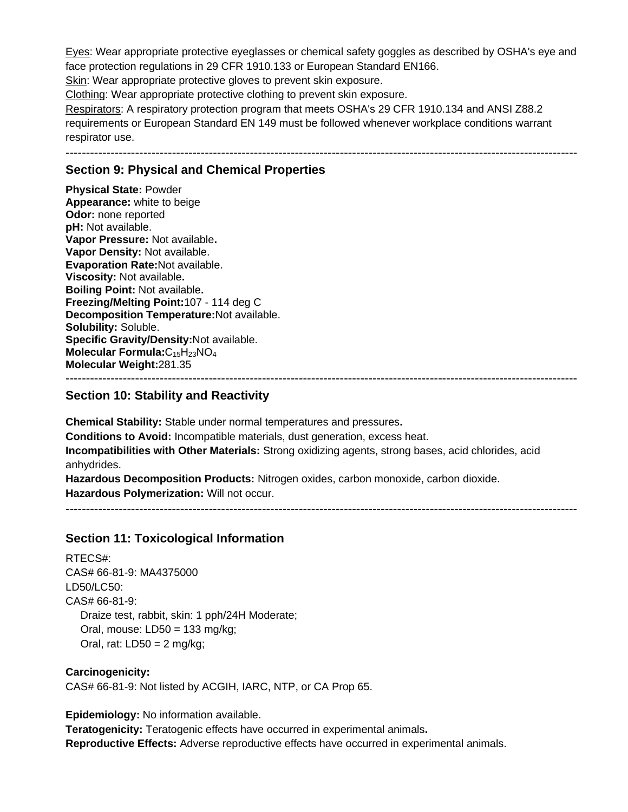Eyes: Wear appropriate protective eyeglasses or chemical safety goggles as described by OSHA's eye and face protection regulations in 29 CFR 1910.133 or European Standard EN166.

Skin: Wear appropriate protective gloves to prevent skin exposure.

Clothing: Wear appropriate protective clothing to prevent skin exposure.

Respirators: A respiratory protection program that meets OSHA's 29 CFR 1910.134 and ANSI Z88.2 requirements or European Standard EN 149 must be followed whenever workplace conditions warrant respirator use.

-----------------------------------------------------------------------------------------------------------------------------

## **Section 9: Physical and Chemical Properties**

**Physical State:** Powder **Appearance:** white to beige **Odor:** none reported **pH:** Not available. **Vapor Pressure:** Not available**. Vapor Density:** Not available. **Evaporation Rate:**Not available. **Viscosity:** Not available**. Boiling Point:** Not available**. Freezing/Melting Point:**107 - 114 deg C **Decomposition Temperature:**Not available. **Solubility:** Soluble. **Specific Gravity/Density:**Not available. **Molecular Formula:**C15H23NO<sup>4</sup> **Molecular Weight:**281.35 -----------------------------------------------------------------------------------------------------------------------------

### **Section 10: Stability and Reactivity**

**Chemical Stability:** Stable under normal temperatures and pressures**. Conditions to Avoid:** Incompatible materials, dust generation, excess heat. **Incompatibilities with Other Materials:** Strong oxidizing agents, strong bases, acid chlorides, acid anhydrides.

**Hazardous Decomposition Products:** Nitrogen oxides, carbon monoxide, carbon dioxide. **Hazardous Polymerization:** Will not occur.

-----------------------------------------------------------------------------------------------------------------------------

### **Section 11: Toxicological Information**

RTECS#: CAS# 66-81-9: MA4375000 LD50/LC50: CAS# 66-81-9: Draize test, rabbit, skin: 1 pph/24H Moderate; Oral, mouse: LD50 = 133 mg/kg; Oral, rat:  $LD50 = 2$  mg/kg;

**Carcinogenicity:** CAS# 66-81-9: Not listed by ACGIH, IARC, NTP, or CA Prop 65.

**Epidemiology:** No information available.

**Teratogenicity:** Teratogenic effects have occurred in experimental animals**. Reproductive Effects:** Adverse reproductive effects have occurred in experimental animals.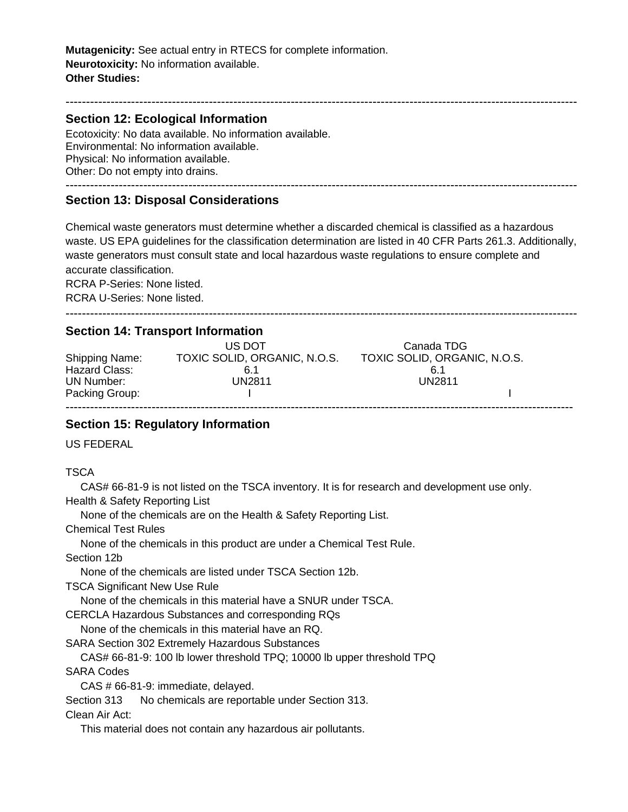**Mutagenicity:** See actual entry in RTECS for complete information. **Neurotoxicity:** No information available. **Other Studies:**

### **Section 12: Ecological Information**

Ecotoxicity: No data available. No information available. Environmental: No information available. Physical: No information available. Other: Do not empty into drains. -----------------------------------------------------------------------------------------------------------------------------

### **Section 13: Disposal Considerations**

Chemical waste generators must determine whether a discarded chemical is classified as a hazardous waste. US EPA guidelines for the classification determination are listed in 40 CFR Parts 261.3. Additionally, waste generators must consult state and local hazardous waste regulations to ensure complete and accurate classification.

-----------------------------------------------------------------------------------------------------------------------------

RCRA P-Series: None listed.

RCRA U-Series: None listed.

### **Section 14: Transport Information**

| <b>Shipping Name:</b> | US DOT<br>TOXIC SOLID, ORGANIC, N.O.S. | Canada TDG<br>TOXIC SOLID, ORGANIC, N.O.S. |  |
|-----------------------|----------------------------------------|--------------------------------------------|--|
| Hazard Class:         | 6.1                                    | 6.1                                        |  |
| UN Number:            | UN2811                                 | UN2811                                     |  |
| Packing Group:        |                                        |                                            |  |

# ----------------------------------------------------------------------------------------------------------------------------

### **Section 15: Regulatory Information**

US FEDERAL

**TSCA** 

 CAS# 66-81-9 is not listed on the TSCA inventory. It is for research and development use only. Health & Safety Reporting List

None of the chemicals are on the Health & Safety Reporting List.

Chemical Test Rules

None of the chemicals in this product are under a Chemical Test Rule.

Section 12b

None of the chemicals are listed under TSCA Section 12b.

TSCA Significant New Use Rule

None of the chemicals in this material have a SNUR under TSCA.

CERCLA Hazardous Substances and corresponding RQs

None of the chemicals in this material have an RQ.

SARA Section 302 Extremely Hazardous Substances

CAS# 66-81-9: 100 lb lower threshold TPQ; 10000 lb upper threshold TPQ

SARA Codes

CAS # 66-81-9: immediate, delayed.

Section 313 No chemicals are reportable under Section 313.

Clean Air Act:

This material does not contain any hazardous air pollutants.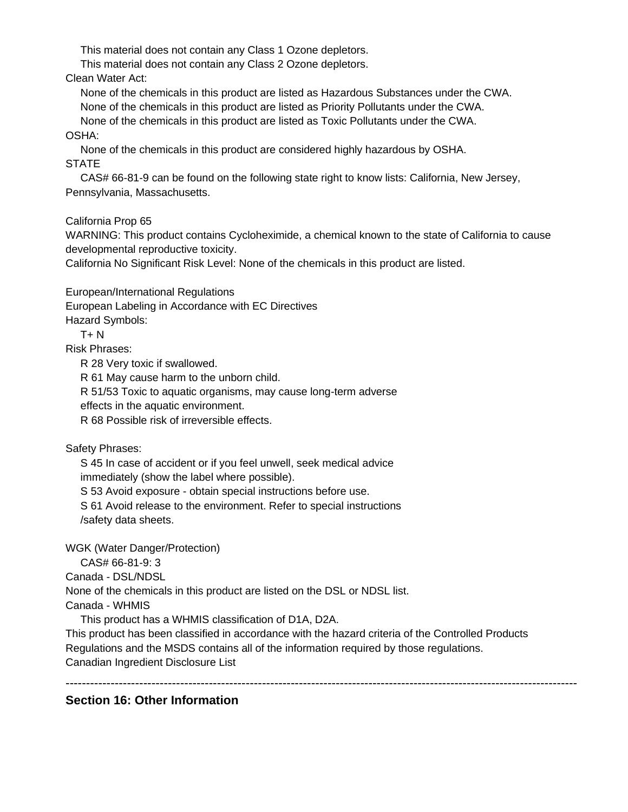This material does not contain any Class 1 Ozone depletors.

This material does not contain any Class 2 Ozone depletors.

Clean Water Act:

 None of the chemicals in this product are listed as Hazardous Substances under the CWA. None of the chemicals in this product are listed as Priority Pollutants under the CWA.

 None of the chemicals in this product are listed as Toxic Pollutants under the CWA. OSHA:

 None of the chemicals in this product are considered highly hazardous by OSHA. **STATE** 

 CAS# 66-81-9 can be found on the following state right to know lists: California, New Jersey, Pennsylvania, Massachusetts.

California Prop 65

WARNING: This product contains Cycloheximide, a chemical known to the state of California to cause developmental reproductive toxicity.

California No Significant Risk Level: None of the chemicals in this product are listed.

European/International Regulations

European Labeling in Accordance with EC Directives

Hazard Symbols:

 $T + N$ 

Risk Phrases:

R 28 Very toxic if swallowed.

R 61 May cause harm to the unborn child.

R 51/53 Toxic to aquatic organisms, may cause long-term adverse

effects in the aquatic environment.

R 68 Possible risk of irreversible effects.

Safety Phrases:

 S 45 In case of accident or if you feel unwell, seek medical advice immediately (show the label where possible).

S 53 Avoid exposure - obtain special instructions before use.

 S 61 Avoid release to the environment. Refer to special instructions /safety data sheets.

WGK (Water Danger/Protection)

CAS# 66-81-9: 3

Canada - DSL/NDSL

None of the chemicals in this product are listed on the DSL or NDSL list.

Canada - WHMIS

This product has a WHMIS classification of D1A, D2A.

This product has been classified in accordance with the hazard criteria of the Controlled Products Regulations and the MSDS contains all of the information required by those regulations. Canadian Ingredient Disclosure List

-----------------------------------------------------------------------------------------------------------------------------

## **Section 16: Other Information**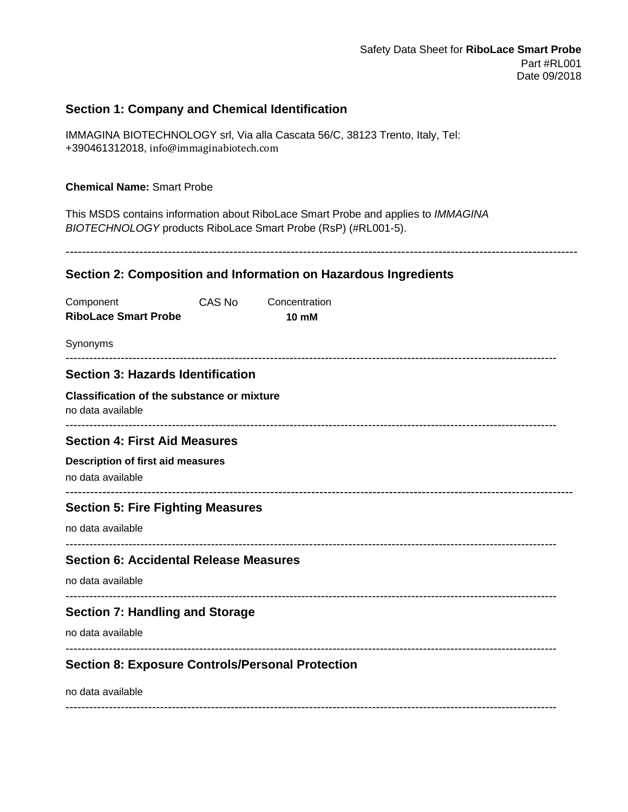## **Section 1: Company and Chemical Identification**

IMMAGINA BIOTECHNOLOGY srl, Via alla Cascata 56/C, 38123 Trento, Italy, Tel: +390461312018, info@immaginabiotech.com

#### **Chemical Name:** Smart Probe

This MSDS contains information about RiboLace Smart Probe and applies to *IMMAGINA BIOTECHNOLOGY* products RiboLace Smart Probe (RsP) (#RL001-5).

-----------------------------------------------------------------------------------------------------------------------------

### **Section 2: Composition and Information on Hazardous Ingredients**

| Component                                                              | CAS No | Concentration |  |
|------------------------------------------------------------------------|--------|---------------|--|
| <b>RiboLace Smart Probe</b>                                            |        | <b>10 mM</b>  |  |
| Synonyms                                                               |        |               |  |
| <b>Section 3: Hazards Identification</b>                               |        |               |  |
| <b>Classification of the substance or mixture</b><br>no data available |        |               |  |
| <b>Section 4: First Aid Measures</b>                                   |        |               |  |
| <b>Description of first aid measures</b><br>no data available          |        |               |  |
|                                                                        |        |               |  |
| <b>Section 5: Fire Fighting Measures</b>                               |        |               |  |
| no data available                                                      |        |               |  |
| <b>Section 6: Accidental Release Measures</b>                          |        |               |  |
| no data available                                                      |        |               |  |
| <b>Section 7: Handling and Storage</b>                                 |        |               |  |
| no data available                                                      |        |               |  |
| <b>Section 8: Exposure Controls/Personal Protection</b>                |        |               |  |
| no data available                                                      |        |               |  |

-----------------------------------------------------------------------------------------------------------------------------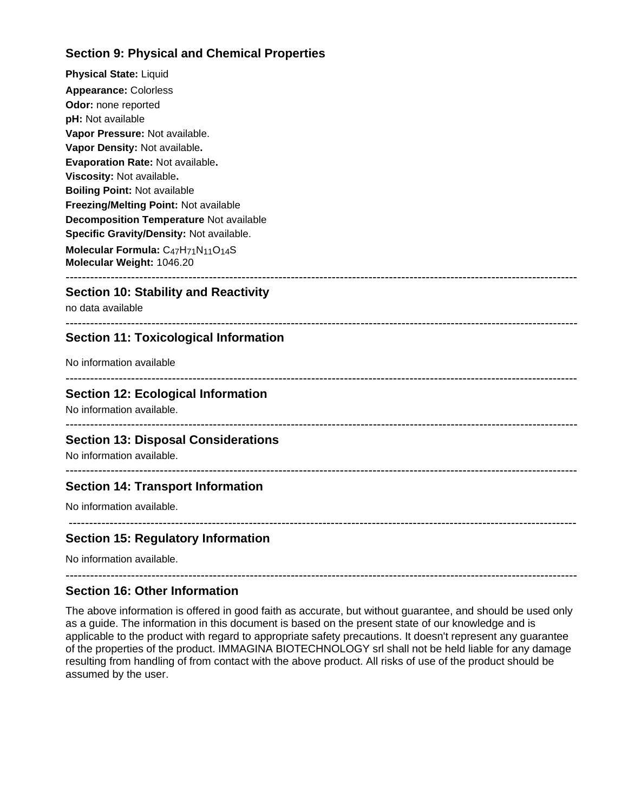## **Section 9: Physical and Chemical Properties**

**Physical State:** Liquid **Appearance:** Colorless **Odor:** none reported **pH:** Not available **Vapor Pressure:** Not available. **Vapor Density:** Not available**. Evaporation Rate:** Not available**. Viscosity:** Not available**. Boiling Point:** Not available **Freezing/Melting Point:** Not available **Decomposition Temperature** Not available **Specific Gravity/Density:** Not available. **Molecular Formula:** C47H71N11O14S **Molecular Weight:** 1046.20

## **Section 10: Stability and Reactivity**

no data available

#### ----------------------------------------------------------------------------------------------------------------------------- **Section 11: Toxicological Information**

No information available

 $-1-\frac{1}{2}$ 

-----------------------------------------------------------------------------------------------------------------------------

### **Section 12: Ecological Information**

No information available.

## -----------------------------------------------------------------------------------------------------------------------------

-----------------------------------------------------------------------------------------------------------------------------

----------------------------------------------------------------------------------------------------------------------------

### **Section 13: Disposal Considerations**

No information available.

### **Section 14: Transport Information**

No information available.

# **Section 15: Regulatory Information**

No information available.

### **Section 16: Other Information**

The above information is offered in good faith as accurate, but without guarantee, and should be used only as a guide. The information in this document is based on the present state of our knowledge and is applicable to the product with regard to appropriate safety precautions. It doesn't represent any guarantee of the properties of the product. IMMAGINA BIOTECHNOLOGY srl shall not be held liable for any damage resulting from handling of from contact with the above product. All risks of use of the product should be assumed by the user.

-----------------------------------------------------------------------------------------------------------------------------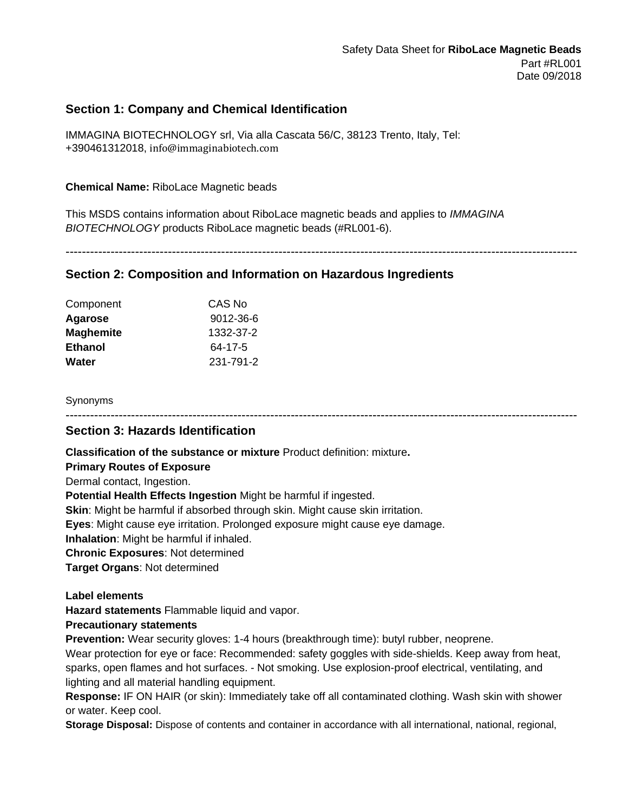## **Section 1: Company and Chemical Identification**

IMMAGINA BIOTECHNOLOGY srl, Via alla Cascata 56/C, 38123 Trento, Italy, Tel: +390461312018, info@immaginabiotech.com

### **Chemical Name:** RiboLace Magnetic beads

This MSDS contains information about RiboLace magnetic beads and applies to *IMMAGINA BIOTECHNOLOGY* products RiboLace magnetic beads (#RL001-6).

-----------------------------------------------------------------------------------------------------------------------------

### **Section 2: Composition and Information on Hazardous Ingredients**

| Component        | CAS No    |
|------------------|-----------|
| Agarose          | 9012-36-6 |
| <b>Maghemite</b> | 1332-37-2 |
| <b>Ethanol</b>   | 64-17-5   |
| Water            | 231-791-2 |

#### Synonyms

-----------------------------------------------------------------------------------------------------------------------------

### **Section 3: Hazards Identification**

**Classification of the substance or mixture** Product definition: mixture**.**

#### **Primary Routes of Exposure**

Dermal contact, Ingestion.

**Potential Health Effects Ingestion** Might be harmful if ingested.

**Skin**: Might be harmful if absorbed through skin. Might cause skin irritation.

**Eyes**: Might cause eye irritation. Prolonged exposure might cause eye damage.

**Inhalation**: Might be harmful if inhaled.

**Chronic Exposures**: Not determined

**Target Organs**: Not determined

#### **Label elements**

**Hazard statements** Flammable liquid and vapor.

#### **Precautionary statements**

**Prevention:** Wear security gloves: 1-4 hours (breakthrough time): butyl rubber, neoprene.

Wear protection for eye or face: Recommended: safety goggles with side-shields. Keep away from heat, sparks, open flames and hot surfaces. - Not smoking. Use explosion-proof electrical, ventilating, and lighting and all material handling equipment.

**Response:** IF ON HAIR (or skin): Immediately take off all contaminated clothing. Wash skin with shower or water. Keep cool.

**Storage Disposal:** Dispose of contents and container in accordance with all international, national, regional,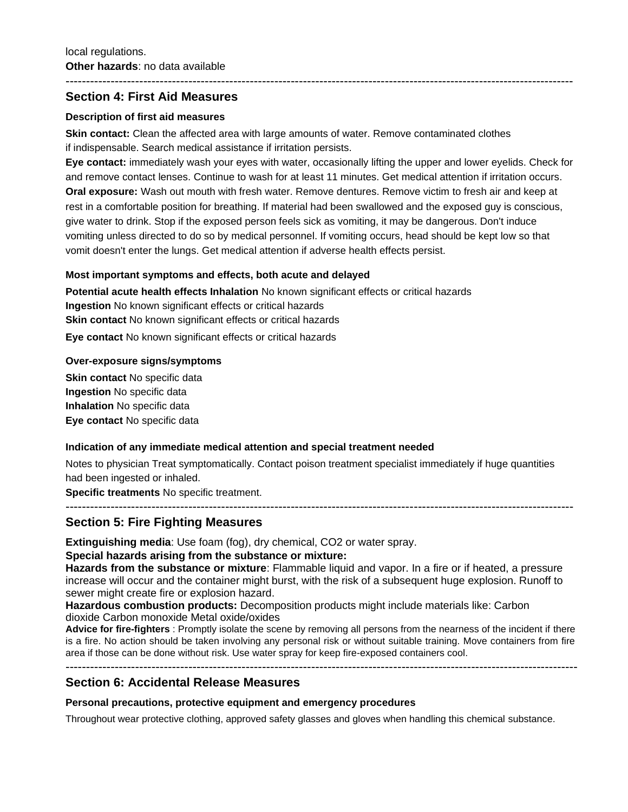### **Section 4: First Aid Measures**

#### **Description of first aid measures**

**Skin contact:** Clean the affected area with large amounts of water. Remove contaminated clothes if indispensable. Search medical assistance if irritation persists.

**Eye contact:** immediately wash your eyes with water, occasionally lifting the upper and lower eyelids. Check for and remove contact lenses. Continue to wash for at least 11 minutes. Get medical attention if irritation occurs. **Oral exposure:** Wash out mouth with fresh water. Remove dentures. Remove victim to fresh air and keep at rest in a comfortable position for breathing. If material had been swallowed and the exposed guy is conscious, give water to drink. Stop if the exposed person feels sick as vomiting, it may be dangerous. Don't induce vomiting unless directed to do so by medical personnel. If vomiting occurs, head should be kept low so that vomit doesn't enter the lungs. Get medical attention if adverse health effects persist.

----------------------------------------------------------------------------------------------------------------------------

#### **Most important symptoms and effects, both acute and delayed**

**Potential acute health effects Inhalation** No known significant effects or critical hazards **Ingestion** No known significant effects or critical hazards **Skin contact** No known significant effects or critical hazards **Eye contact** No known significant effects or critical hazards

#### **Over-exposure signs/symptoms**

**Skin contact No specific data Ingestion** No specific data **Inhalation** No specific data **Eye contact** No specific data

#### **Indication of any immediate medical attention and special treatment needed**

Notes to physician Treat symptomatically. Contact poison treatment specialist immediately if huge quantities had been ingested or inhaled.

**Specific treatments** No specific treatment.

### ---------------------------------------------------------------------------------------------------------------------------- **Section 5: Fire Fighting Measures**

**Extinguishing media**: Use foam (fog), dry chemical, CO2 or water spray.

#### **Special hazards arising from the substance or mixture:**

**Hazards from the substance or mixture**: Flammable liquid and vapor. In a fire or if heated, a pressure increase will occur and the container might burst, with the risk of a subsequent huge explosion. Runoff to sewer might create fire or explosion hazard.

**Hazardous combustion products:** Decomposition products might include materials like: Carbon dioxide Carbon monoxide Metal oxide/oxides

**Advice for fire-fighters** : Promptly isolate the scene by removing all persons from the nearness of the incident if there is a fire. No action should be taken involving any personal risk or without suitable training. Move containers from fire area if those can be done without risk. Use water spray for keep fire-exposed containers cool.

-----------------------------------------------------------------------------------------------------------------------------

### **Section 6: Accidental Release Measures**

**Personal precautions, protective equipment and emergency procedures**

Throughout wear protective clothing, approved safety glasses and gloves when handling this chemical substance.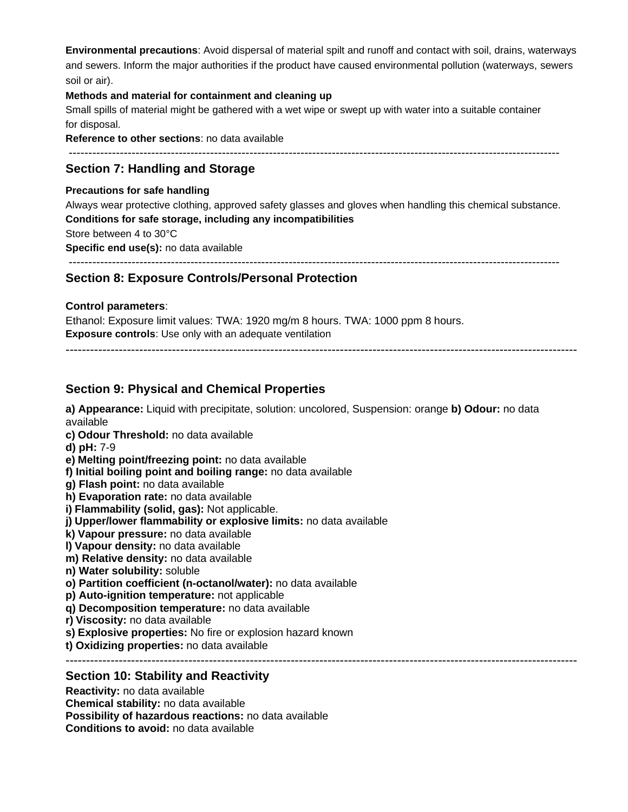**Environmental precautions**: Avoid dispersal of material spilt and runoff and contact with soil, drains, waterways and sewers. Inform the major authorities if the product have caused environmental pollution (waterways, sewers soil or air).

#### **Methods and material for containment and cleaning up**

Small spills of material might be gathered with a wet wipe or swept up with water into a suitable container for disposal.

**Reference to other sections**: no data available

-----------------------------------------------------------------------------------------------------------------------------

### **Section 7: Handling and Storage**

#### **Precautions for safe handling**

Always wear protective clothing, approved safety glasses and gloves when handling this chemical substance. **Conditions for safe storage, including any incompatibilities**

Store between 4 to 30°C

**Specific end use(s):** no data available

-----------------------------------------------------------------------------------------------------------------------------

### **Section 8: Exposure Controls/Personal Protection**

#### **Control parameters**:

Ethanol: Exposure limit values: TWA: 1920 mg/m 8 hours. TWA: 1000 ppm 8 hours. **Exposure controls**: Use only with an adequate ventilation

-----------------------------------------------------------------------------------------------------------------------------

### **Section 9: Physical and Chemical Properties**

**a) Appearance:** Liquid with precipitate, solution: uncolored, Suspension: orange **b) Odour:** no data available

- **c) Odour Threshold:** no data available
- **d) pH:** 7-9
- **e) Melting point/freezing point:** no data available
- **f) Initial boiling point and boiling range:** no data available
- **g) Flash point:** no data available
- **h) Evaporation rate:** no data available
- **i) Flammability (solid, gas):** Not applicable.
- **j) Upper/lower flammability or explosive limits:** no data available
- **k) Vapour pressure:** no data available
- **l) Vapour density:** no data available
- **m) Relative density:** no data available
- **n) Water solubility:** soluble
- **o) Partition coefficient (n-octanol/water):** no data available
- **p) Auto-ignition temperature:** not applicable
- **q) Decomposition temperature:** no data available
- **r) Viscosity:** no data available
- **s) Explosive properties:** No fire or explosion hazard known
- **t) Oxidizing properties:** no data available

-----------------------------------------------------------------------------------------------------------------------------

#### **Section 10: Stability and Reactivity**

**Reactivity:** no data available

**Chemical stability:** no data available

**Possibility of hazardous reactions:** no data available

**Conditions to avoid:** no data available